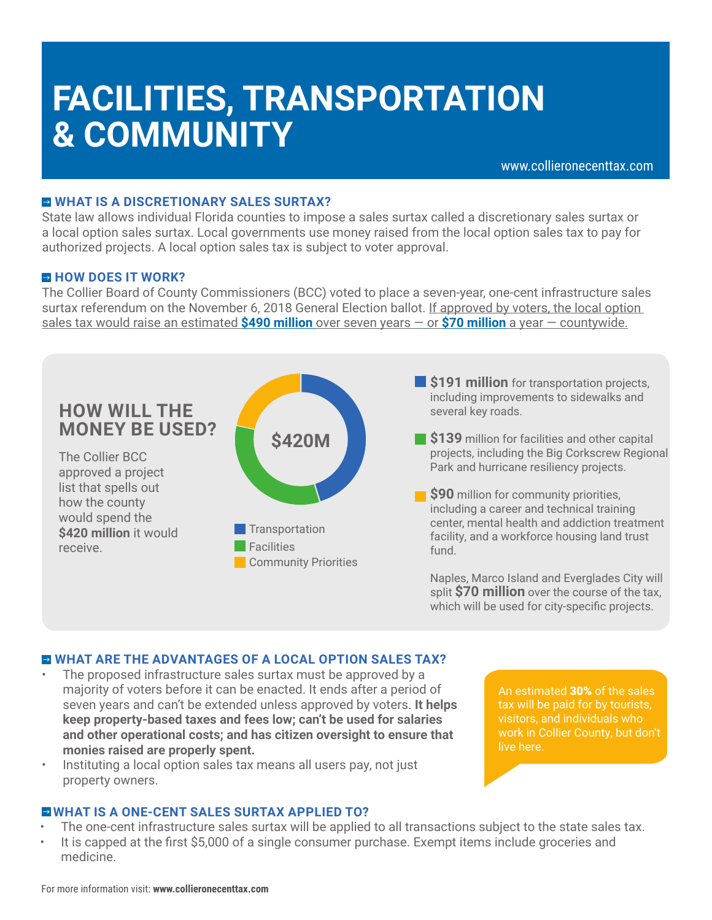# **FACILITIES, TRANSPORTATION & COMMUNITY**

www.collieronecenttax.com

#### **E WHAT IS A DISCRETIONARY SALES SURTAX?**

State law allows individual Florida counties to impose a sales surtax called a discretionary sales surtax or a local option sales surtax. Local governments use money raised from the local option sales tax to pay for authorized projects. A local option sales tax is subject to voter approval.

#### $\overline{P}$  **HOW DOES IT WORK?**

The Collier Board of County Commissioners (BCC) voted to place a seven-year, one-cent infrastructure sales surtax referendum on the November 6, 2018 General Election ballot. If approved by voters, the local option sales tax would raise an estimated **\$490 million** over seven years — or **\$70 million** a year — countywide.



#### **EX WHAT ARE THE ADVANTAGES OF A LOCAL OPTION SALES TAX?**

- The proposed infrastructure sales surtax must be approved by a majority of voters before it can be enacted. It ends after a period of seven years and can't be extended unless approved by voters. **It helps keep property-based taxes and fees low; can't be used for salaries and other operational costs; and has citizen oversight to ensure that monies raised are properly spent.**
- Instituting a local option sales tax means all users pay, not just property owners.

#### **E WHAT IS A ONE-CENT SALES SURTAX APPLIED TO?**

- The one-cent infrastructure sales surtax will be applied to all transactions subject to the state sales tax.
- It is capped at the first \$5,000 of a single consumer purchase. Exempt items include groceries and medicine.

An estimated 30% of the sales tax will be paid for by tourists, visitors, and individuals who live here.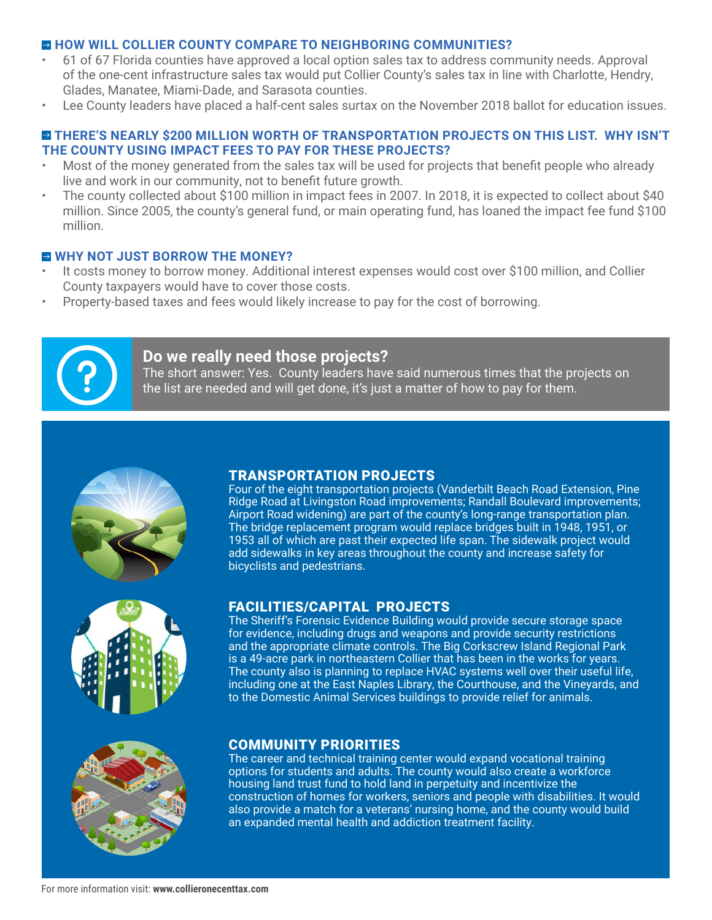#### **E HOW WILL COLLIER COUNTY COMPARE TO NEIGHBORING COMMUNITIES?**

- 61 of 67 Florida counties have approved a local option sales tax to address community needs. Approval of the one-cent infrastructure sales tax would put Collier County's sales tax in line with Charlotte, Hendry, Glades, Manatee, Miami-Dade, and Sarasota counties.
- Lee County leaders have placed a half-cent sales surtax on the November 2018 ballot for education issues.

#### **E** THERE'S NEARLY \$200 MILLION WORTH OF TRANSPORTATION PROJECTS ON THIS LIST. WHY ISN'T **THE COUNTY USING IMPACT FEES TO PAY FOR THESE PROJECTS?**

- Most of the money generated from the sales tax will be used for projects that benefit people who already live and work in our community, not to benefit future growth.
- The county collected about \$100 million in impact fees in 2007. In 2018, it is expected to collect about \$40 million. Since 2005, the county's general fund, or main operating fund, has loaned the impact fee fund \$100 million.

#### **E WHY NOT JUST BORROW THE MONEY?**

- It costs money to borrow money. Additional interest expenses would cost over \$100 million, and Collier County taxpayers would have to cover those costs.
- Property-based taxes and fees would likely increase to pay for the cost of borrowing.



### **Do we really need those projects?**

The short answer: Yes. County leaders have said numerous times that the projects on the list are needed and will get done, it's just a matter of how to pay for them.







#### TRANSPORTATION PROJECTS

Four of the eight transportation projects (Vanderbilt Beach Road Extension, Pine Ridge Road at Livingston Road improvements; Randall Boulevard improvements; Airport Road widening) are part of the county's long-range transportation plan. The bridge replacement program would replace bridges built in 1948, 1951, or 1953 all of which are past their expected life span. The sidewalk project would add sidewalks in key areas throughout the county and increase safety for bicyclists and pedestrians.

#### FACILITIES/CAPITAL PROJECTS

The Sheriff's Forensic Evidence Building would provide secure storage space for evidence, including drugs and weapons and provide security restrictions and the appropriate climate controls. The Big Corkscrew Island Regional Park is a 49-acre park in northeastern Collier that has been in the works for years. The county also is planning to replace HVAC systems well over their useful life, including one at the East Naples Library, the Courthouse, and the Vineyards, and to the Domestic Animal Services buildings to provide relief for animals.

#### COMMUNITY PRIORITIES

The career and technical training center would expand vocational training options for students and adults. The county would also create a workforce housing land trust fund to hold land in perpetuity and incentivize the construction of homes for workers, seniors and people with disabilities. It would also provide a match for a veterans' nursing home, and the county would build an expanded mental health and addiction treatment facility.